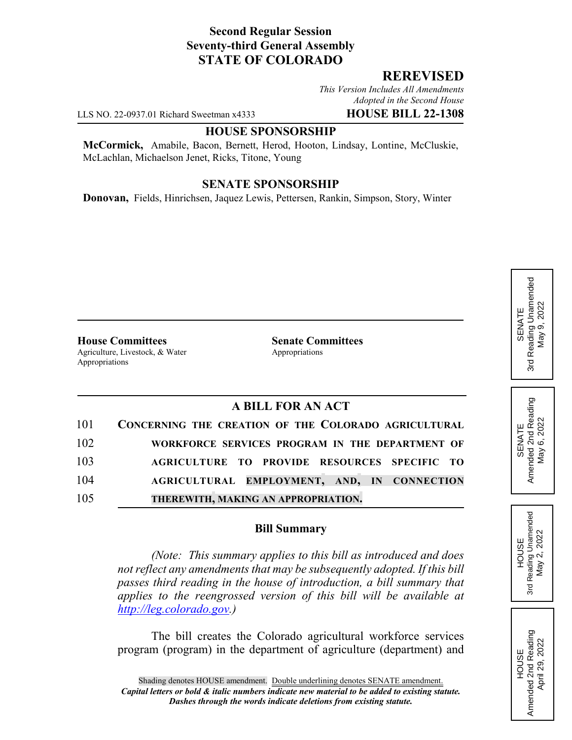# **Second Regular Session Seventy-third General Assembly STATE OF COLORADO**

## **REREVISED**

*This Version Includes All Amendments Adopted in the Second House*

LLS NO. 22-0937.01 Richard Sweetman x4333 **HOUSE BILL 22-1308**

### **HOUSE SPONSORSHIP**

**McCormick,** Amabile, Bacon, Bernett, Herod, Hooton, Lindsay, Lontine, McCluskie, McLachlan, Michaelson Jenet, Ricks, Titone, Young

### **SENATE SPONSORSHIP**

**Donovan,** Fields, Hinrichsen, Jaquez Lewis, Pettersen, Rankin, Simpson, Story, Winter

**House Committees Senate Committees** Agriculture, Livestock, & Water Appropriations Appropriations

# **A BILL FOR AN ACT**

| 101 | CONCERNING THE CREATION OF THE COLORADO AGRICULTURAL |
|-----|------------------------------------------------------|
| 102 | WORKFORCE SERVICES PROGRAM IN THE DEPARTMENT OF      |
| 103 | AGRICULTURE TO PROVIDE RESOURCES SPECIFIC TO         |
| 104 | AGRICULTURAL EMPLOYMENT, AND, IN CONNECTION          |
| 105 | THEREWITH, MAKING AN APPROPRIATION.                  |

## **Bill Summary**

*(Note: This summary applies to this bill as introduced and does not reflect any amendments that may be subsequently adopted. If this bill passes third reading in the house of introduction, a bill summary that applies to the reengrossed version of this bill will be available at http://leg.colorado.gov.)*

The bill creates the Colorado agricultural workforce services program (program) in the department of agriculture (department) and SENATE<br>Reading Unamended 3rd Reading Unamended May 9, 2022 May 9, 2022 3rd

SENATE<br>Amended 2nd Reading<br>May 6, 2022 Amended 2nd Reading May 6, 2022

HOUSE<br>Reading Unamended<br>May 2, 2022 3rd Reading Unamended May 2, 2022

3rd

HOUSE<br>Amended 2nd Reading Amended 2nd Reading April 29, 2022

April 29, 2022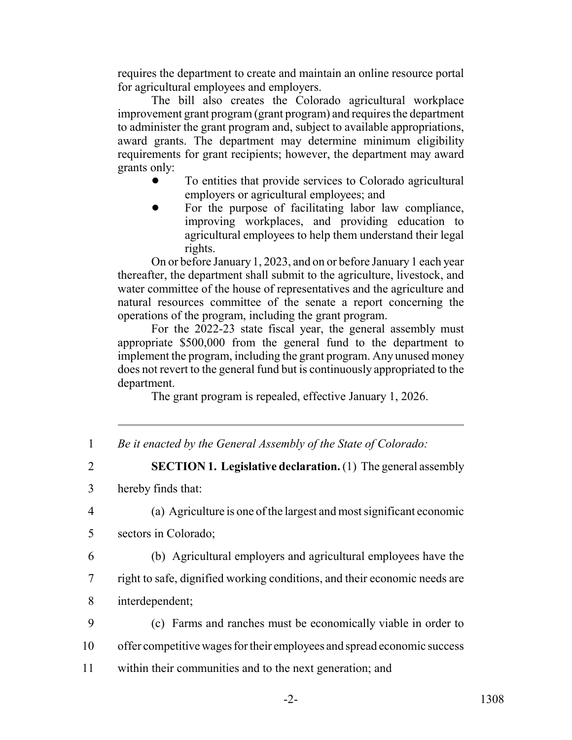requires the department to create and maintain an online resource portal for agricultural employees and employers.

The bill also creates the Colorado agricultural workplace improvement grant program (grant program) and requires the department to administer the grant program and, subject to available appropriations, award grants. The department may determine minimum eligibility requirements for grant recipients; however, the department may award grants only:

- ! To entities that provide services to Colorado agricultural employers or agricultural employees; and
- For the purpose of facilitating labor law compliance, improving workplaces, and providing education to agricultural employees to help them understand their legal rights.

On or before January 1, 2023, and on or before January 1 each year thereafter, the department shall submit to the agriculture, livestock, and water committee of the house of representatives and the agriculture and natural resources committee of the senate a report concerning the operations of the program, including the grant program.

For the 2022-23 state fiscal year, the general assembly must appropriate \$500,000 from the general fund to the department to implement the program, including the grant program. Any unused money does not revert to the general fund but is continuously appropriated to the department.

The grant program is repealed, effective January 1, 2026.

|  | Be it enacted by the General Assembly of the State of Colorado: |  |  |  |
|--|-----------------------------------------------------------------|--|--|--|
|--|-----------------------------------------------------------------|--|--|--|

2 **SECTION 1. Legislative declaration.** (1) The general assembly

3 hereby finds that:

4 (a) Agriculture is one of the largest and most significant economic

- 5 sectors in Colorado;
- 

6 (b) Agricultural employers and agricultural employees have the 7 right to safe, dignified working conditions, and their economic needs are

- 8 interdependent;
- 9 (c) Farms and ranches must be economically viable in order to 10 offer competitive wages for their employees and spread economic success
- 11 within their communities and to the next generation; and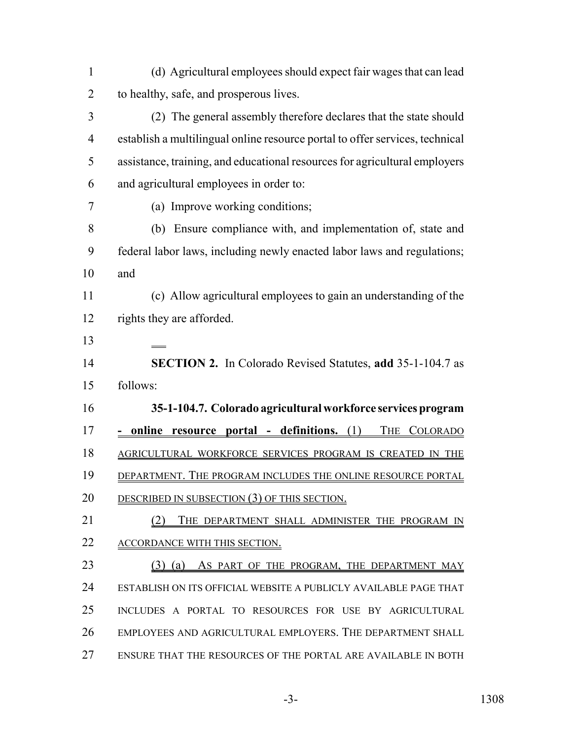| $\mathbf{1}$   | (d) Agricultural employees should expect fair wages that can lead            |
|----------------|------------------------------------------------------------------------------|
| $\overline{2}$ | to healthy, safe, and prosperous lives.                                      |
| 3              | (2) The general assembly therefore declares that the state should            |
| $\overline{4}$ | establish a multilingual online resource portal to offer services, technical |
| 5              | assistance, training, and educational resources for agricultural employers   |
| 6              | and agricultural employees in order to:                                      |
| 7              | (a) Improve working conditions;                                              |
| 8              | (b) Ensure compliance with, and implementation of, state and                 |
| 9              | federal labor laws, including newly enacted labor laws and regulations;      |
| 10             | and                                                                          |
| 11             | (c) Allow agricultural employees to gain an understanding of the             |
| 12             | rights they are afforded.                                                    |
| 13             |                                                                              |
| 14             | <b>SECTION 2.</b> In Colorado Revised Statutes, add 35-1-104.7 as            |
| 15             | follows:                                                                     |
| 16             | 35-1-104.7. Colorado agricultural workforce services program                 |
| 17             | online resource portal - definitions. (1)<br>THE COLORADO                    |
| 18             | AGRICULTURAL WORKFORCE SERVICES PROGRAM IS CREATED IN THE                    |
| 19             | DEPARTMENT. THE PROGRAM INCLUDES THE ONLINE RESOURCE PORTAL                  |
| 20             | DESCRIBED IN SUBSECTION (3) OF THIS SECTION.                                 |
| 21             | (2) THE DEPARTMENT SHALL ADMINISTER THE PROGRAM IN                           |
| 22             | ACCORDANCE WITH THIS SECTION.                                                |
| 23             | (3) (a) AS PART OF THE PROGRAM, THE DEPARTMENT MAY                           |
| 24             | ESTABLISH ON ITS OFFICIAL WEBSITE A PUBLICLY AVAILABLE PAGE THAT             |
| 25             | INCLUDES A PORTAL TO RESOURCES FOR USE BY AGRICULTURAL                       |
| 26             | EMPLOYEES AND AGRICULTURAL EMPLOYERS. THE DEPARTMENT SHALL                   |
| 27             | ENSURE THAT THE RESOURCES OF THE PORTAL ARE AVAILABLE IN BOTH                |

-3- 1308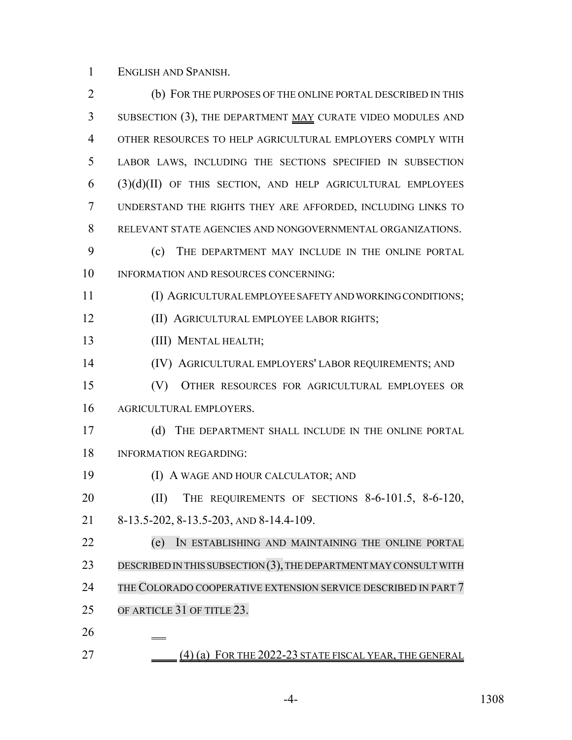ENGLISH AND SPANISH.

| $\overline{2}$ | (b) FOR THE PURPOSES OF THE ONLINE PORTAL DESCRIBED IN THIS          |
|----------------|----------------------------------------------------------------------|
| 3              | SUBSECTION (3), THE DEPARTMENT MAY CURATE VIDEO MODULES AND          |
| 4              | OTHER RESOURCES TO HELP AGRICULTURAL EMPLOYERS COMPLY WITH           |
| 5              | LABOR LAWS, INCLUDING THE SECTIONS SPECIFIED IN SUBSECTION           |
| 6              | $(3)(d)(II)$ OF THIS SECTION, AND HELP AGRICULTURAL EMPLOYEES        |
| 7              | UNDERSTAND THE RIGHTS THEY ARE AFFORDED, INCLUDING LINKS TO          |
| 8              | RELEVANT STATE AGENCIES AND NONGOVERNMENTAL ORGANIZATIONS.           |
| 9              | (c)<br>THE DEPARTMENT MAY INCLUDE IN THE ONLINE PORTAL               |
| 10             | INFORMATION AND RESOURCES CONCERNING:                                |
| 11             | (I) AGRICULTURAL EMPLOYEE SAFETY AND WORKING CONDITIONS;             |
| 12             | (II) AGRICULTURAL EMPLOYEE LABOR RIGHTS;                             |
| 13             | (III) MENTAL HEALTH;                                                 |
| 14             | (IV) AGRICULTURAL EMPLOYERS' LABOR REQUIREMENTS; AND                 |
| 15             | (V)<br>OTHER RESOURCES FOR AGRICULTURAL EMPLOYEES OR                 |
| 16             | AGRICULTURAL EMPLOYERS.                                              |
| 17             | (d)<br>THE DEPARTMENT SHALL INCLUDE IN THE ONLINE PORTAL             |
| 18             | <b>INFORMATION REGARDING:</b>                                        |
| 19             | (I) A WAGE AND HOUR CALCULATOR; AND                                  |
| 20             | THE REQUIREMENTS OF SECTIONS 8-6-101.5, 8-6-120,<br>(II)             |
| 21             | 8-13.5-202, 8-13.5-203, AND 8-14.4-109.                              |
| 22             | (e)<br>IN ESTABLISHING AND MAINTAINING THE ONLINE PORTAL             |
| 23             | DESCRIBED IN THIS SUBSECTION $(3)$ , THE DEPARTMENT MAY CONSULT WITH |
| 24             | THE COLORADO COOPERATIVE EXTENSION SERVICE DESCRIBED IN PART 7       |
| 25             | OF ARTICLE 31 OF TITLE 23.                                           |
| 26             |                                                                      |
| 27             | FOR THE 2022-23 STATE FISCAL YEAR, THE GENERAL<br>$(4)$ (a)          |

-4- 1308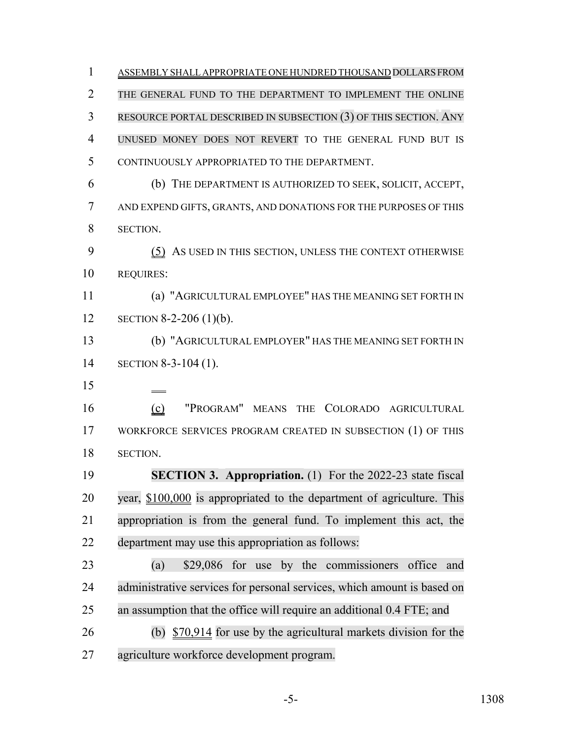1 ASSEMBLY SHALL APPROPRIATE ONE HUNDRED THOUSAND DOLLARS FROM THE GENERAL FUND TO THE DEPARTMENT TO IMPLEMENT THE ONLINE RESOURCE PORTAL DESCRIBED IN SUBSECTION (3) OF THIS SECTION. ANY UNUSED MONEY DOES NOT REVERT TO THE GENERAL FUND BUT IS CONTINUOUSLY APPROPRIATED TO THE DEPARTMENT. (b) THE DEPARTMENT IS AUTHORIZED TO SEEK, SOLICIT, ACCEPT, AND EXPEND GIFTS, GRANTS, AND DONATIONS FOR THE PURPOSES OF THIS SECTION. (5) AS USED IN THIS SECTION, UNLESS THE CONTEXT OTHERWISE REQUIRES: (a) "AGRICULTURAL EMPLOYEE" HAS THE MEANING SET FORTH IN SECTION 8-2-206 (1)(b). (b) "AGRICULTURAL EMPLOYER" HAS THE MEANING SET FORTH IN SECTION 8-3-104 (1). (c) "PROGRAM" MEANS THE COLORADO AGRICULTURAL WORKFORCE SERVICES PROGRAM CREATED IN SUBSECTION (1) OF THIS SECTION. **SECTION 3. Appropriation.** (1) For the 2022-23 state fiscal year, \$100,000 is appropriated to the department of agriculture. This appropriation is from the general fund. To implement this act, the department may use this appropriation as follows: (a) \$29,086 for use by the commissioners office and administrative services for personal services, which amount is based on an assumption that the office will require an additional 0.4 FTE; and (b) \$70,914 for use by the agricultural markets division for the agriculture workforce development program.